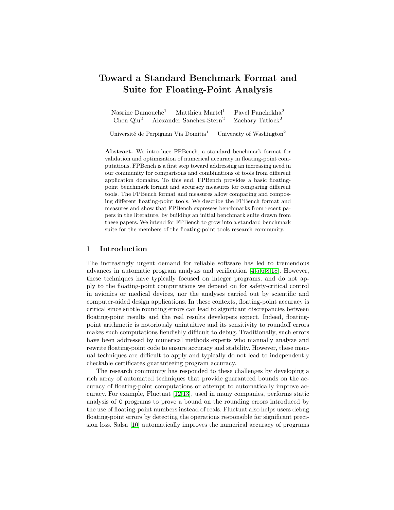# Toward a Standard Benchmark Format and Suite for Floating-Point Analysis

| Nasrine Damouche <sup>1</sup> | Matthieu Martel <sup>1</sup>         | Payel Panchekha <sup>2</sup> |
|-------------------------------|--------------------------------------|------------------------------|
| Chen $\mathrm{Qiu}^2$         | Alexander Sanchez-Stern <sup>2</sup> | Zachary Tatlock <sup>2</sup> |

Université de Perpignan Via Domitia<sup>1</sup> University of Washington<sup>2</sup>

Abstract. We introduce FPBench, a standard benchmark format for validation and optimization of numerical accuracy in floating-point computations. FPBench is a first step toward addressing an increasing need in our community for comparisons and combinations of tools from different application domains. To this end, FPBench provides a basic floatingpoint benchmark format and accuracy measures for comparing different tools. The FPBench format and measures allow comparing and composing different floating-point tools. We describe the FPBench format and measures and show that FPBench expresses benchmarks from recent papers in the literature, by building an initial benchmark suite drawn from these papers. We intend for FPBench to grow into a standard benchmark suite for the members of the floating-point tools research community.

## 1 Introduction

The increasingly urgent demand for reliable software has led to tremendous advances in automatic program analysis and verification [\[4,](#page-13-0)[5,](#page-13-1)[6,](#page-13-2)[8,](#page-13-3)[18\]](#page-14-0). However, these techniques have typically focused on integer programs, and do not apply to the floating-point computations we depend on for safety-critical control in avionics or medical devices, nor the analyses carried out by scientific and computer-aided design applications. In these contexts, floating-point accuracy is critical since subtle rounding errors can lead to significant discrepancies between floating-point results and the real results developers expect. Indeed, floatingpoint arithmetic is notoriously unintuitive and its sensitivity to roundoff errors makes such computations fiendishly difficult to debug. Traditionally, such errors have been addressed by numerical methods experts who manually analyze and rewrite floating-point code to ensure accuracy and stability. However, these manual techniques are difficult to apply and typically do not lead to independently checkable certificates guaranteeing program accuracy.

The research community has responded to these challenges by developing a rich array of automated techniques that provide guaranteed bounds on the accuracy of floating-point computations or attempt to automatically improve accuracy. For example, Fluctuat [\[12](#page-14-1)[,13\]](#page-14-2), used in many companies, performs static analysis of C programs to prove a bound on the rounding errors introduced by the use of floating-point numbers instead of reals. Fluctuat also helps users debug floating-point errors by detecting the operations responsible for significant precision loss. Salsa [\[10\]](#page-14-3) automatically improves the numerical accuracy of programs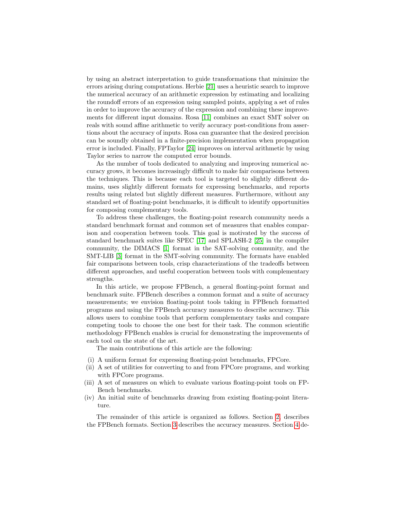by using an abstract interpretation to guide transformations that minimize the errors arising during computations. Herbie [\[21\]](#page-14-4) uses a heuristic search to improve the numerical accuracy of an arithmetic expression by estimating and localizing the roundoff errors of an expression using sampled points, applying a set of rules in order to improve the accuracy of the expression and combining these improvements for different input domains. Rosa [\[11\]](#page-14-5) combines an exact SMT solver on reals with sound affine arithmetic to verify accuracy post-conditions from assertions about the accuracy of inputs. Rosa can guarantee that the desired precision can be soundly obtained in a finite-precision implementation when propagation error is included. Finally, FPTaylor [\[24\]](#page-14-6) improves on interval arithmetic by using Taylor series to narrow the computed error bounds.

As the number of tools dedicated to analyzing and improving numerical accuracy grows, it becomes increasingly difficult to make fair comparisons between the techniques. This is because each tool is targeted to slightly different domains, uses slightly different formats for expressing benchmarks, and reports results using related but slightly different measures. Furthermore, without any standard set of floating-point benchmarks, it is difficult to identify opportunities for composing complementary tools.

To address these challenges, the floating-point research community needs a standard benchmark format and common set of measures that enables comparison and cooperation between tools. This goal is motivated by the success of standard benchmark suites like SPEC [\[17\]](#page-14-7) and SPLASH-2 [\[25\]](#page-14-8) in the compiler community, the DIMACS [\[1\]](#page-13-4) format in the SAT-solving community, and the SMT-LIB [\[3\]](#page-13-5) format in the SMT-solving community. The formats have enabled fair comparisons between tools, crisp characterizations of the tradeoffs between different approaches, and useful cooperation between tools with complementary strengths.

In this article, we propose FPBench, a general floating-point format and benchmark suite. FPBench describes a common format and a suite of accuracy measurements; we envision floating-point tools taking in FPBench formatted programs and using the FPBench accuracy measures to describe accuracy. This allows users to combine tools that perform complementary tasks and compare competing tools to choose the one best for their task. The common scientific methodology FPBench enables is crucial for demonstrating the improvements of each tool on the state of the art.

The main contributions of this article are the following:

- (i) A uniform format for expressing floating-point benchmarks, FPCore.
- (ii) A set of utilities for converting to and from FPCore programs, and working with FPCore programs.
- (iii) A set of measures on which to evaluate various floating-point tools on FP-Bench benchmarks.
- (iv) An initial suite of benchmarks drawing from existing floating-point literature.

The remainder of this article is organized as follows. Section [2,](#page-2-0) describes the FPBench formats. Section [3](#page-4-0) describes the accuracy measures. Section [4](#page-7-0) de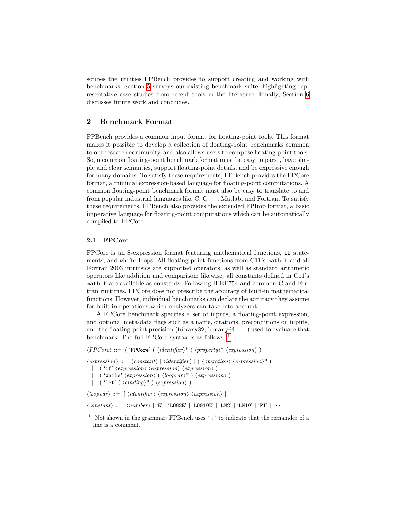scribes the utilities FPBench provides to support creating and working with benchmarks. Section [5](#page-8-0) surveys our existing benchmark suite, highlighting representative case studies from recent tools in the literature. Finally, Section [6](#page-12-0) discusses future work and concludes.

## <span id="page-2-0"></span>2 Benchmark Format

FPBench provides a common input format for floating-point tools. This format makes it possible to develop a collection of floating-point benchmarks common to our research community, and also allows users to compose floating-point tools. So, a common floating-point benchmark format must be easy to parse, have simple and clear semantics, support floating-point details, and be expressive enough for many domains. To satisfy these requirements, FPBench provides the FPCore format, a minimal expression-based language for floating-point computations. A common floating-point benchmark format must also be easy to translate to and from popular industrial languages like C, C++, Matlab, and Fortran. To satisfy these requirements, FPBench also provides the extended FPImp format, a basic imperative language for floating-point computations which can be automatically compiled to FPCore.

## 2.1 FPCore

FPCore is an S-expression format featuring mathematical functions, if statements, and while loops. All floating-point functions from C11's math.h and all Fortran 2003 intrinsics are supported operators, as well as standard arithmetic operators like addition and comparison; likewise, all constants defined in C11's math.h are available as constants. Following IEEE754 and common C and Fortran runtimes, FPCore does not prescribe the accuracy of built-in mathematical functions. However, individual benchmarks can declare the accuracy they assume for built-in operations which analyzers can take into account.

A FPCore benchmark specifies a set of inputs, a floating-point expression, and optional meta-data flags such as a name, citations, preconditions on inputs, and the floating-point precision ( $\{binary32, binary64, \ldots\}$ ) used to evaluate that benchmark. The full FPCore syntax is as follows: <sup>[1](#page-2-1)</sup>

```
\langle FPCore \rangle ::= ( 'FPCore' ( \langle identifier \rangle^* ) \langle property \rangle^* \langle expression \rangle )
```

```
\langle expression \rangle ::= \langle constant \rangle | \langle identifier \rangle | ( \langle operation \rangle \langle expression \rangle^*)
```

```
({\it 'if'} \langle expression \rangle \langle expression \rangle \langle expression \rangle )
```

```
('while' \langle expression \rangle (\langle loopvar \rangle^*) \langle expression \rangle)
```
| ('let' ( $\langle binding \rangle^*$ )  $\langle expression \rangle$ )

 $\langle loopvar \rangle ::= \int \langle identifier \rangle \langle expression \rangle \langle expression \rangle$ 

 $\langle constant \rangle ::= \langle number \rangle | 'E' | 'LOG2E' | 'LOG10E' | 'LNS' | 'LNI0' | 'PI' | ...$ 

<span id="page-2-1"></span><sup>&</sup>lt;sup>1</sup> Not shown in the grammar: FPBench uses ";" to indicate that the remainder of a line is a comment.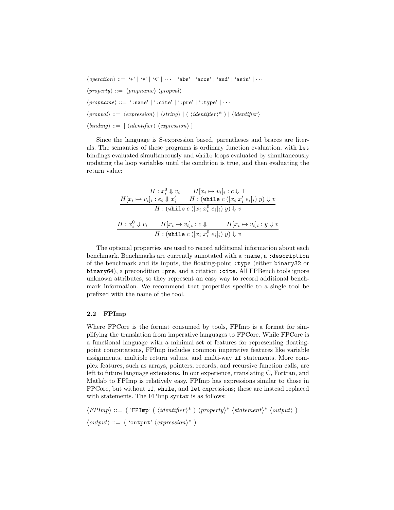$\langle operation\rangle ::=$  '+' | '\*' | '<' | ··· | 'abs' | 'acos' | 'and' | 'asin' | ···  $\langle property \rangle ::= \langle propname \rangle \langle propval \rangle$  $\langle propname \rangle ::=$  ':name' | ':cite' | ':pre' | ':type' |  $\cdots$  $\langle propval \rangle ::= \langle expression \rangle | \langle string \rangle | ( \langle identifier \rangle^*) | \langle identifier \rangle$  $\langle binding \rangle ::= [\langle identifier \rangle \langle expression \rangle ]$ 

Since the language is S-expression based, parentheses and braces are literals. The semantics of these programs is ordinary function evaluation, with let bindings evaluated simultaneously and while loops evaluated by simultaneously updating the loop variables until the condition is true, and then evaluating the return value:

$$
H: x_i^0 \Downarrow v_i \qquad H[x_i \mapsto v_i]_i : c \Downarrow \top
$$
  
\n
$$
\frac{H[x_i \mapsto v_i]_i : e_i \Downarrow x_i'}{H : (\text{while } c ([x_i x_i' e_i]_i) y) \Downarrow v}
$$
  
\n
$$
H: (\text{while } c ([x_i x_i^0 e_i]_i) y) \Downarrow v
$$
  
\n
$$
\frac{H:x_i^0 \Downarrow v_i \qquad H[x_i \mapsto v_i]_i : c \Downarrow \bot \qquad H[x_i \mapsto v_i]_i : y \Downarrow v}{H : (\text{while } c ([x_i x_i^0 e_i]_i) y) \Downarrow v}
$$

The optional properties are used to record additional information about each benchmark. Benchmarks are currently annotated with a :name, a :description of the benchmark and its inputs, the floating-point :type (either binary32 or binary64), a precondition : pre, and a citation : cite. All FPBench tools ignore unknown attributes, so they represent an easy way to record additional benchmark information. We recommend that properties specific to a single tool be prefixed with the name of the tool.

#### 2.2 FPImp

Where FPCore is the format consumed by tools, FPImp is a format for simplifying the translation from imperative languages to FPCore. While FPCore is a functional language with a minimal set of features for representing floatingpoint computations, FPImp includes common imperative features like variable assignments, multiple return values, and multi-way if statements. More complex features, such as arrays, pointers, records, and recursive function calls, are left to future language extensions. In our experience, translating C, Fortran, and Matlab to FPImp is relatively easy. FPImp has expressions similar to those in FPCore, but without if, while, and let expressions; these are instead replaced with statements. The FPImp syntax is as follows:

 $\langle FPlmp \rangle ::= (\langle FPlmp \rangle \langle \langle \text{identity} \rangle^*) \langle \text{property} \rangle^* \langle \text{statement} \rangle^* \langle \text{output} \rangle )$  $\langle output \rangle ::= (\text{`output'} \langle expression \rangle^*)$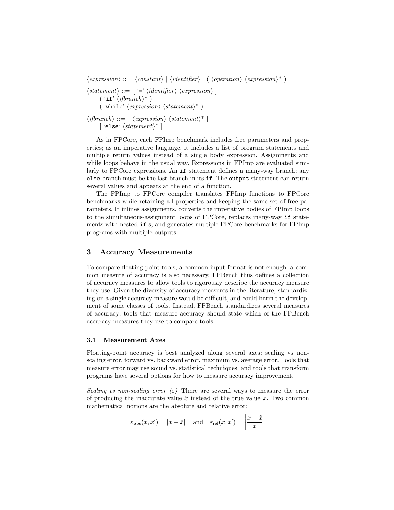$\langle expression \rangle ::= \langle constant \rangle | \langle identifier \rangle | ( \langle operation \rangle \langle expression \rangle^*)$  $\langle statement \rangle ::= [\equiv \langle identifier \rangle \langle expression \rangle]$  $(iif' \langle ifbranch \rangle^*)$ ('while'  $\langle expression \rangle$   $\langle statement \rangle^*$ )  $\langle \text{ifbranch} \rangle ::= \int \langle \text{expression} \rangle \langle \text{statement} \rangle^*$  $\lceil$  'else'  $\langle statement \rangle^*$  ]

As in FPCore, each FPImp benchmark includes free parameters and properties; as an imperative language, it includes a list of program statements and multiple return values instead of a single body expression. Assignments and while loops behave in the usual way. Expressions in FPImp are evaluated similarly to FPCore expressions. An if statement defines a many-way branch; any else branch must be the last branch in its if. The output statement can return several values and appears at the end of a function.

The FPImp to FPCore compiler translates FPImp functions to FPCore benchmarks while retaining all properties and keeping the same set of free parameters. It inlines assignments, converts the imperative bodies of FPImp loops to the simultaneous-assignment loops of FPCore, replaces many-way if statements with nested if s, and generates multiple FPCore benchmarks for FPImp programs with multiple outputs.

## <span id="page-4-0"></span>3 Accuracy Measurements

To compare floating-point tools, a common input format is not enough: a common measure of accuracy is also necessary. FPBench thus defines a collection of accuracy measures to allow tools to rigorously describe the accuracy measure they use. Given the diversity of accuracy measures in the literature, standardizing on a single accuracy measure would be difficult, and could harm the development of some classes of tools. Instead, FPBench standardizes several measures of accuracy; tools that measure accuracy should state which of the FPBench accuracy measures they use to compare tools.

#### 3.1 Measurement Axes

Floating-point accuracy is best analyzed along several axes: scaling vs nonscaling error, forward vs. backward error, maximum vs. average error. Tools that measure error may use sound vs. statistical techniques, and tools that transform programs have several options for how to measure accuracy improvement.

Scaling vs non-scaling error  $(\varepsilon)$  There are several ways to measure the error of producing the inaccurate value  $\hat{x}$  instead of the true value x. Two common mathematical notions are the absolute and relative error:

$$
\varepsilon_{\text{abs}}(x, x') = |x - \hat{x}| \quad \text{and} \quad \varepsilon_{\text{rel}}(x, x') = \left| \frac{x - \hat{x}}{x} \right|
$$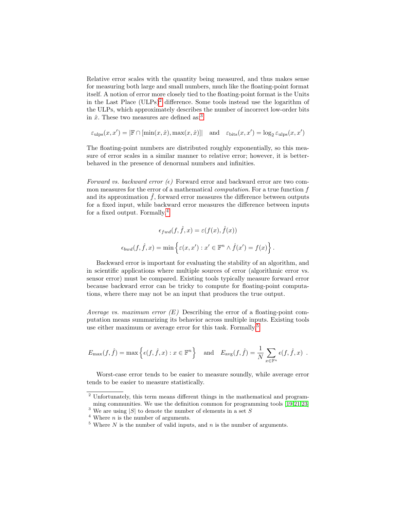Relative error scales with the quantity being measured, and thus makes sense for measuring both large and small numbers, much like the floating-point format itself. A notion of error more closely tied to the floating-point format is the Units in the Last Place (ULPs)[2](#page-5-0) difference. Some tools instead use the logarithm of the ULPs, which approximately describes the number of incorrect low-order bits in  $\hat{x}$ . These two measures are defined as:<sup>[3](#page-5-1)</sup>

 $\varepsilon_{\text{ulps}}(x, x') = |\mathbb{F} \cap [\min(x, \hat{x}), \max(x, \hat{x})]|$  and  $\varepsilon_{\text{bits}}(x, x') = \log_2 \varepsilon_{\text{ulps}}(x, x')$ 

The floating-point numbers are distributed roughly exponentially, so this measure of error scales in a similar manner to relative error; however, it is betterbehaved in the presence of denormal numbers and infinities.

Forward vs. backward error  $(\epsilon)$  Forward error and backward error are two common measures for the error of a mathematical *computation*. For a true function f and its approximation  $f$ , forward error measures the difference between outputs for a fixed input, while backward error measures the difference between inputs for a fixed output. Formally,  $4$ 

$$
\epsilon_{fwd}(f, \hat{f}, x) = \varepsilon(f(x), \hat{f}(x))
$$

$$
\epsilon_{bwd}(f, \hat{f}, x) = \min \{ \varepsilon(x, x') : x' \in \mathbb{F}^n \wedge \hat{f}(x') = f(x) \}.
$$

Backward error is important for evaluating the stability of an algorithm, and in scientific applications where multiple sources of error (algorithmic error vs. sensor error) must be compared. Existing tools typically measure forward error because backward error can be tricky to compute for floating-point computations, where there may not be an input that produces the true output.

Average vs. maximum error  $(E)$  Describing the error of a floating-point computation means summarizing its behavior across multiple inputs. Existing tools use either maximum or average error for this task. Formally,<sup>[5](#page-5-3)</sup>

$$
E_{\max}(f,\hat{f}) = \max\left\{\epsilon(f,\hat{f},x) : x \in \mathbb{F}^n\right\} \quad \text{and} \quad E_{\text{avg}}(f,\hat{f}) = \frac{1}{N} \sum_{x \in \mathbb{F}^n} \epsilon(f,\hat{f},x) .
$$

Worst-case error tends to be easier to measure soundly, while average error tends to be easier to measure statistically.

<span id="page-5-0"></span><sup>2</sup> Unfortunately, this term means different things in the mathematical and programming communities. We use the definition common for programming tools [\[19,](#page-14-9)[21,](#page-14-4)[23\]](#page-14-10)

<span id="page-5-1"></span><sup>&</sup>lt;sup>3</sup> We are using  $|S|$  to denote the number of elements in a set S

<span id="page-5-2"></span> $4$  Where *n* is the number of arguments.

<span id="page-5-3"></span><sup>&</sup>lt;sup>5</sup> Where N is the number of valid inputs, and  $n$  is the number of arguments.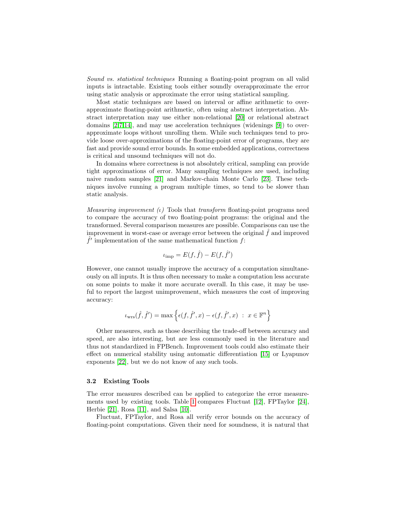Sound vs. statistical techniques Running a floating-point program on all valid inputs is intractable. Existing tools either soundly overapproximate the error using static analysis or approximate the error using statistical sampling.

Most static techniques are based on interval or affine arithmetic to overapproximate floating-point arithmetic, often using abstract interpretation. Abstract interpretation may use either non-relational [\[20\]](#page-14-11) or relational abstract domains [\[2,](#page-13-6)[7](#page-13-7)[,14\]](#page-14-12), and may use acceleration techniques (widenings [\[9\]](#page-14-13)) to overapproximate loops without unrolling them. While such techniques tend to provide loose over-approximations of the floating-point error of programs, they are fast and provide sound error bounds. In some embedded applications, correctness is critical and unsound techniques will not do.

In domains where correctness is not absolutely critical, sampling can provide tight approximations of error. Many sampling techniques are used, including naive random samples [\[21\]](#page-14-4) and Markov-chain Monte Carlo [\[23\]](#page-14-10). These techniques involve running a program multiple times, so tend to be slower than static analysis.

*Measuring improvement* (*ι*) Tools that *transform* floating-point programs need to compare the accuracy of two floating-point programs: the original and the transformed. Several comparison measures are possible. Comparisons can use the improvement in worst-case or average error between the original  $\hat{f}$  and improved  $\hat{f}'$  implementation of the same mathematical function f:

$$
\iota_{\text{imp}} = E(f, \hat{f}) - E(f, \hat{f}')
$$

However, one cannot usually improve the accuracy of a computation simultaneously on all inputs. It is thus often necessary to make a computation less accurate on some points to make it more accurate overall. In this case, it may be useful to report the largest unimprovement, which measures the cost of improving accuracy:

$$
\iota_{\text{wrs}}(\hat{f}, \hat{f}') = \max \left\{ \epsilon(f, \hat{f}', x) - \epsilon(f, \hat{f}', x) \ : \ x \in \mathbb{F}^n \right\}
$$

Other measures, such as those describing the trade-off between accuracy and speed, are also interesting, but are less commonly used in the literature and thus not standardized in FPBench. Improvement tools could also estimate their effect on numerical stability using automatic differentiation [\[15\]](#page-14-14) or Lyapunov exponents [\[22\]](#page-14-15), but we do not know of any such tools.

#### 3.2 Existing Tools

The error measures described can be applied to categorize the error measurements used by existing tools. Table [1](#page-7-1) compares Fluctuat [\[12\]](#page-14-1), FPTaylor [\[24\]](#page-14-6), Herbie [\[21\]](#page-14-4), Rosa [\[11\]](#page-14-5), and Salsa [\[10\]](#page-14-3).

Fluctuat, FPTaylor, and Rosa all verify error bounds on the accuracy of floating-point computations. Given their need for soundness, it is natural that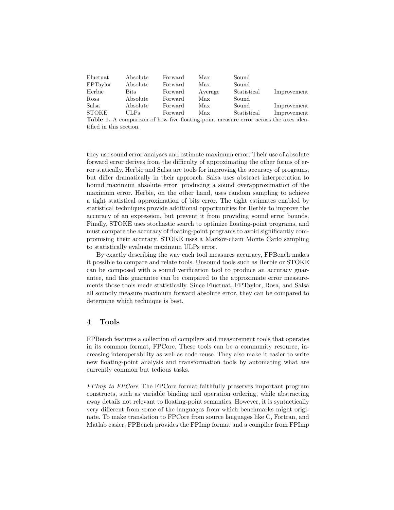| Fluctuat                                                                                    | Absolute | Forward | Max     | Sound       |             |  |  |  |
|---------------------------------------------------------------------------------------------|----------|---------|---------|-------------|-------------|--|--|--|
| FPTaylor                                                                                    | Absolute | Forward | Max     | Sound       |             |  |  |  |
| Herbie                                                                                      | Bits     | Forward | Average | Statistical | Improvement |  |  |  |
| Rosa                                                                                        | Absolute | Forward | Max     | Sound       |             |  |  |  |
| Salsa                                                                                       | Absolute | Forward | Max     | Sound       | Improvement |  |  |  |
| STOKE                                                                                       | ULPs     | Forward | Max     | Statistical | Improvement |  |  |  |
| <b>Table 1.</b> A comparison of how five floating-point measure error across the axes iden- |          |         |         |             |             |  |  |  |

<span id="page-7-1"></span>tified in this section.

they use sound error analyses and estimate maximum error. Their use of absolute forward error derives from the difficulty of approximating the other forms of error statically. Herbie and Salsa are tools for improving the accuracy of programs, but differ dramatically in their approach. Salsa uses abstract interpretation to bound maximum absolute error, producing a sound overapproximation of the maximum error. Herbie, on the other hand, uses random sampling to achieve a tight statistical approximation of bits error. The tight estimates enabled by statistical techniques provide additional opportunities for Herbie to improve the accuracy of an expression, but prevent it from providing sound error bounds. Finally, STOKE uses stochastic search to optimize floating-point programs, and must compare the accuracy of floating-point programs to avoid significantly compromising their accuracy. STOKE uses a Markov-chain Monte Carlo sampling to statistically evaluate maximum ULPs error.

By exactly describing the way each tool measures accuracy, FPBench makes it possible to compare and relate tools. Unsound tools such as Herbie or STOKE can be composed with a sound verification tool to produce an accuracy guarantee, and this guarantee can be compared to the approximate error measurements those tools made statistically. Since Fluctuat, FPTaylor, Rosa, and Salsa all soundly measure maximum forward absolute error, they can be compared to determine which technique is best.

## <span id="page-7-0"></span>4 Tools

FPBench features a collection of compilers and measurement tools that operates in its common format, FPCore. These tools can be a community resource, increasing interoperability as well as code reuse. They also make it easier to write new floating-point analysis and transformation tools by automating what are currently common but tedious tasks.

FPImp to FPCore The FPCore format faithfully preserves important program constructs, such as variable binding and operation ordering, while abstracting away details not relevant to floating-point semantics. However, it is syntactically very different from some of the languages from which benchmarks might originate. To make translation to FPCore from source languages like C, Fortran, and Matlab easier, FPBench provides the FPImp format and a compiler from FPImp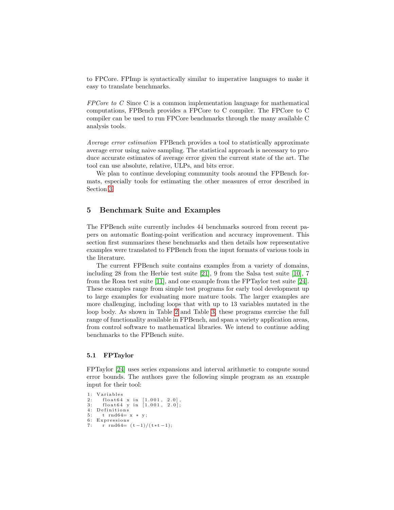to FPCore. FPImp is syntactically similar to imperative languages to make it easy to translate benchmarks.

FPCore to C Since C is a common implementation language for mathematical computations, FPBench provides a FPCore to C compiler. The FPCore to C compiler can be used to run FPCore benchmarks through the many available C analysis tools.

Average error estimation FPBench provides a tool to statistically approximate average error using naive sampling. The statistical approach is necessary to produce accurate estimates of average error given the current state of the art. The tool can use absolute, relative, ULPs, and bits error.

We plan to continue developing community tools around the FPBench formats, especially tools for estimating the other measures of error described in Section [3.](#page-4-0)

## <span id="page-8-0"></span>5 Benchmark Suite and Examples

The FPBench suite currently includes 44 benchmarks sourced from recent papers on automatic floating-point verification and accuracy improvement. This section first summarizes these benchmarks and then details how representative examples were translated to FPBench from the input formats of various tools in the literature.

The current FPBench suite contains examples from a variety of domains, including 28 from the Herbie test suite [\[21\]](#page-14-4), 9 from the Salsa test suite [\[10\]](#page-14-3), 7 from the Rosa test suite [\[11\]](#page-14-5), and one example from the FPTaylor test suite [\[24\]](#page-14-6). These examples range from simple test programs for early tool development up to large examples for evaluating more mature tools. The larger examples are more challenging, including loops that with up to 13 variables mutated in the loop body. As shown in Table [2](#page-9-0) and Table [3,](#page-9-1) these programs exercise the full range of functionality available in FPBench, and span a variety application areas, from control software to mathematical libraries. We intend to continue adding benchmarks to the FPBench suite.

#### 5.1 FPTaylor

FPTaylor [\[24\]](#page-14-6) uses series expansions and interval arithmetic to compute sound error bounds. The authors gave the following simple program as an example input for their tool:

```
1: Variables<br>2: float64
2: float 64 x in [1.001, 2.0],<br>3: float 64 y in [1.001, 2.0],4: Definitions
\verb|5: \verb| t rnd64 = x * y ;6: Expressions
7: \vec{r} \text{rnd} 64 = (t-1)/(t*t-1);
```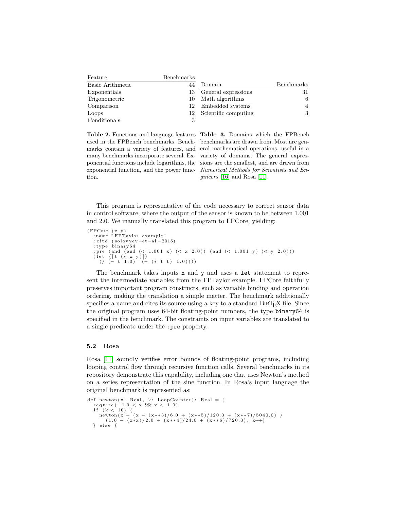| Feature          | Benchmarks |                      |                |
|------------------|------------|----------------------|----------------|
| Basic Arithmetic |            | Domain               | Benchmarks     |
| Exponentials     | 13         | General expressions  | 31             |
| Trigonometric    | 10         | Math algorithms      | 6              |
| Comparison       | 12         | Embedded systems     | $\overline{4}$ |
| Loops            | 12         | Scientific computing | 3              |
| Conditionals     | 3          |                      |                |

used in the FPBench benchmarks. Benchmarks contain a variety of features, and many benchmarks incorporate several. Exponential functions include logarithms, the exponential function, and the power function.

<span id="page-9-1"></span><span id="page-9-0"></span>Table 2. Functions and language features Table 3. Domains which the FPBench benchmarks are drawn from. Most are general mathematical operations, useful in a variety of domains. The general expressions are the smallest, and are drawn from Numerical Methods for Scientists and Engineers [\[16\]](#page-14-16) and Rosa [\[11\]](#page-14-5).

This program is representative of the code necessary to correct sensor data in control software, where the output of the sensor is known to be between 1.001 and 2.0. We manually translated this program to FPCore, yielding:

```
( FPCore ( x y )
  : name "FPTaylor example"
   : cite (solovyev-et-al-2015)
  : type binary 64
  : pre (and (and (<br>1.001 x) (<br> x 2.0)) (and (<br>1.001 y) (<br> y 2.0))<br>(let ([t (* x y)])\frac{(\text{let } ([t (* x y)])}{(7 + 1.0) (- (* t 1.0))))}
```
The benchmark takes inputs x and y and uses a let statement to represent the intermediate variables from the FPTaylor example. FPCore faithfully preserves important program constructs, such as variable binding and operation ordering, making the translation a simple matter. The benchmark additionally specifies a name and cites its source using a key to a standard  $BIBT<sub>F</sub>X$  file. Since the original program uses 64-bit floating-point numbers, the type binary64 is specified in the benchmark. The constraints on input variables are translated to a single predicate under the :pre property.

#### 5.2 Rosa

Rosa [\[11\]](#page-14-5) soundly verifies error bounds of floating-point programs, including looping control flow through recursive function calls. Several benchmarks in its repository demonstrate this capability, including one that uses Newton's method on a series representation of the sine function. In Rosa's input language the original benchmark is represented as:

```
def newton (x: Real, k: LoopCounter): Real = {
   r e quir e (-1.0 \le x \&x \le 1.0)if (k < 10) {
       \text{newton}(\text{x} - (\text{x} - (\text{x} * 3)/6.0 + (\text{x} * 5)/120.0 + (\text{x} * 7)/5040.0) /<br>(1.0 - (x*x)/2.0 + (x**4)/24.0 + (x**6)/720.0), k++)
   \} else {
```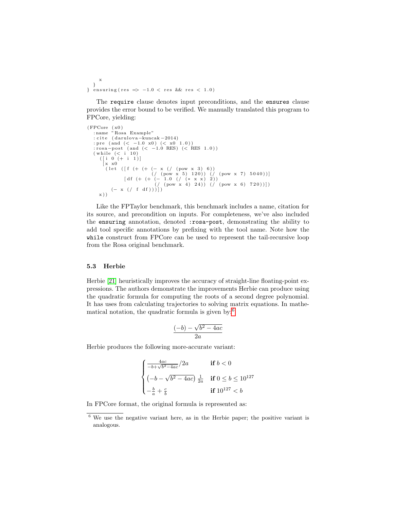x } } ensuring (res  $\Rightarrow$  -1.0 < res && res < 1.0)

The require clause denotes input preconditions, and the ensures clause provides the error bound to be verified. We manually translated this program to FPCore, yielding:

```
( FPCore ( x0 )
: name "Rosa Example"
      :cite (darulova−kuncak-2014)<br>:pre (and (< −1.0 x0) (< x0 1.0))<br>:rosa-post (and (< −1.0 RES) (< RES 1.0))
      (\text{while } (<i>i</i> 10)<br>
([\text{i } 0 (+ \text{i } 1)]\begin{bmatrix} x & x0 \end{bmatrix}( l et ( [ f ( + ( + ( − x ( / ( pow x 3 ) 6))<br>
( / ( pow x 5 ) 120) ) ( / ( pow x 7 ) 5040 ) ) ]<br>
[d f ( + ( + ( - 0 ( / ( * x x ) 2) )<br>
( – x ( / f d f ) ) )] )
          x ) )
```
Like the FPTaylor benchmark, this benchmark includes a name, citation for its source, and precondition on inputs. For completeness, we've also included the ensuring annotation, denoted :rosa-post, demonstrating the ability to add tool specific annotations by prefixing with the tool name. Note how the while construct from FPCore can be used to represent the tail-recursive loop from the Rosa original benchmark.

#### 5.3 Herbie

Herbie [\[21\]](#page-14-4) heuristically improves the accuracy of straight-line floating-point expressions. The authors demonstrate the improvements Herbie can produce using the quadratic formula for computing the roots of a second degree polynomial. It has uses from calculating trajectories to solving matrix equations. In mathematical notation, the quadratic formula is given by:[6](#page-10-0)

$$
\frac{(-b) - \sqrt{b^2 - 4ac}}{2a}
$$

Herbie produces the following more-accurate variant:

$$
\begin{cases} \frac{4ac}{-b+\sqrt{b^2-4ac}}/2a & \text{if } b < 0\\ \left(-b-\sqrt{b^2-4ac}\right)\frac{1}{2a} & \text{if } 0 \le b \le 10^{127}\\ -\frac{b}{a}+\frac{c}{b} & \text{if } 10^{127} < b \end{cases}
$$

In FPCore format, the original formula is represented as:

<span id="page-10-0"></span><sup>6</sup> We use the negative variant here, as in the Herbie paper; the positive variant is analogous.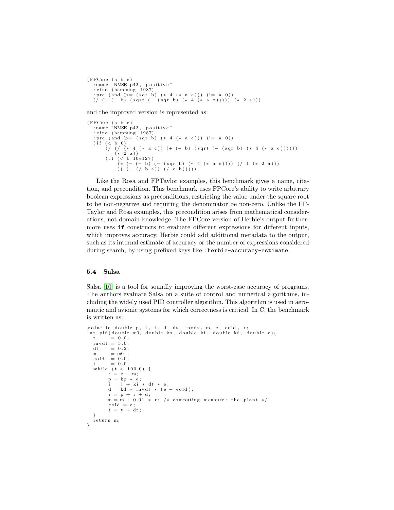```
(FPCore (a b c)<br>:name "NMSE p42, positive"
   : cite (hamming-1987)
   : pre (and (>= (sqr b) (* 4 (* a c))) (!= a 0))<br>(/ (+ (- b) (sqrt (- (sqr b) (* 4 (* a c))))) (* 2 a)))
```
and the improved version is represented as:

```
( FPCore ( a b c )
  : name "NMSE p42, positive"
   : cite (hamming-1987)
   : pre ( and ( > = ( sqr b) (* 4 (* a c ) ) (! = a 0 ) )
   ( if (< b 0)<br>
( / ( / ( ∗ 4 ( ∗ a c ) ) ( + ( − b ) ( sqrt ( − ( sqr b ) ( * 4 ( * a c ) ) ) ) ) ) )<br>
( if ( < b 10e127 )
               (* (− (− b) (− (sqr b) (* 4 (* a c)))) (/ 1 (* 2 a)))<br>(+ (− (/ b a)) (/ c b)))))
```
Like the Rosa and FPTaylor examples, this benchmark gives a name, citation, and precondition. This benchmark uses FPCore's ability to write arbitrary boolean expressions as preconditions, restricting the value under the square root to be non-negative and requiring the denominator be non-zero. Unlike the FP-Taylor and Rosa examples, this precondition arises from mathematical considerations, not domain knowledge. The FPCore version of Herbie's output furthermore uses if constructs to evaluate different expressions for different inputs, which improves accuracy. Herbie could add additional metadata to the output, such as its internal estimate of accuracy or the number of expressions considered during search, by using prefixed keys like : herbie-accuracy-estimate.

#### 5.4 Salsa

Salsa [\[10\]](#page-14-3) is a tool for soundly improving the worst-case accuracy of programs. The authors evaluate Salsa on a suite of control and numerical algorithms, including the widely used PID controller algorithm. This algorithm is used in aeronautic and avionic systems for which correctness is critical. In C, the benchmark is written as:

```
volatile double p, i, t, d, dt, invdt, m, e, eold, r;
int pid (double m0, double kp, double ki, double kd, double c) {
        = 0.0;
  inv dt = 5.0;
 dt = 0.2;<br>m = m0:
        = m\theta :
  e old = 0.0;= 0.0;
  while (t < 100.0) {
       e = c - m;p = kp * e;i = i + ki * dt * e;d = kd * invdt * (e - e old);r = p + i + d;
       m = m + 0.01 * r; /* computing measure: the plant */
       eold = e;
       t = t + dt;
  }
  return m:
}
```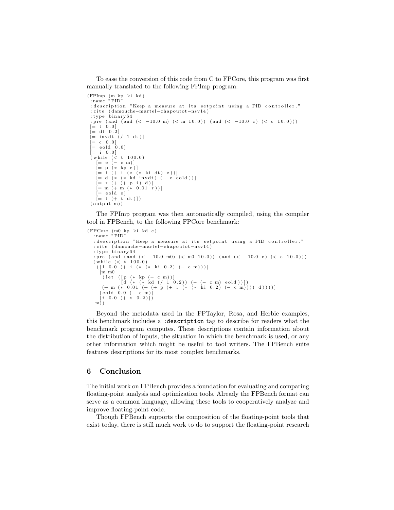To ease the conversion of this code from C to FPCore, this program was first manually translated to the following FPImp program:

```
(FPImp (m kp ki kd)<br>:name "PID"
 : description "Keep a measure at its setpoint using a PID controller."
 : cite (damouche-martel-chapoutot-nsv14)
 : type  binary 64: pre (and (and (< -10.0 \text{ m}) (< m 10.0)) (and (< -10.0 \text{ c}) (< c 10.0)))
 [\frac{1}{2} \pm 0.0][= dt \ 0.2][= invdt ( / 1 dt)]
 [= c \ 0.0][= e o l d 0 . 0 ]
 [= i 0.0]( while (<math>t 100.0)
   [= e (− c m)]<br>[= p (* kp e )]<br>[= i (+ i (* kd invdt) (− e eold))]
   [= r (+ (+ p i) d)][= m (+ m (* 0.01 r))][= e o l d e ]
   [= t (+ t dt) ]( output m) )
```
The FPImp program was then automatically compiled, using the compiler tool in FPBench, to the following FPCore benchmark:

```
(FPCore (m0 kp ki kd c)
    : name "PID"
    : description "Keep a measure at its setpoint using a PID controller."
    : cite (damouche-martel-chapoutot-nsv14)
    : type binary 64
    : pre (and (and (<math>-10.0 \text{ m0}) (<math>\text{m0 } 10.0)) (and (<math>-10.0 \text{ c}) (<math>\text{c } 10.0)))
    (\text{while } (<i>i</i> 100.0))([i \ 0.0 \ (+ \ i \ (* \ k \ i \ 0.2) \ (- \ c \ m)))\lim_{m \to \infty}\begin{array}{l} \left( \, \left[ \,\text{l} \, \text{e} \, \text{t} \quad \left( \,\left[ \,\text{p} \ \ \left( \ast \ \ \text{kp} \ \left( \text{--} \ \text{c} \ \ \text{m} \right) \,\right) \,\right] \,\right. \\ \end{array} \right. \label{eq:4}(d (* (* kd (/ 1 0.2)) (− (− c m) eold ))])<br>(+ m (* 0.01 (+ (+ p (+ i (* (* ki 0.2) (− c m)))) d))))]
        [eold 0.0 (- c m)]
      \begin{array}{cc} [\,t\; \;0.0\;\;(+\;\;t\;\;0.2)\,])\ m))\ \end{array}
```
Beyond the metadata used in the FPTaylor, Rosa, and Herbie examples, this benchmark includes a :description tag to describe for readers what the benchmark program computes. These descriptions contain information about the distribution of inputs, the situation in which the benchmark is used, or any other information which might be useful to tool writers. The FPBench suite features descriptions for its most complex benchmarks.

# <span id="page-12-0"></span>6 Conclusion

The initial work on FPBench provides a foundation for evaluating and comparing floating-point analysis and optimization tools. Already the FPBench format can serve as a common language, allowing these tools to cooperatively analyze and improve floating-point code.

Though FPBench supports the composition of the floating-point tools that exist today, there is still much work to do to support the floating-point research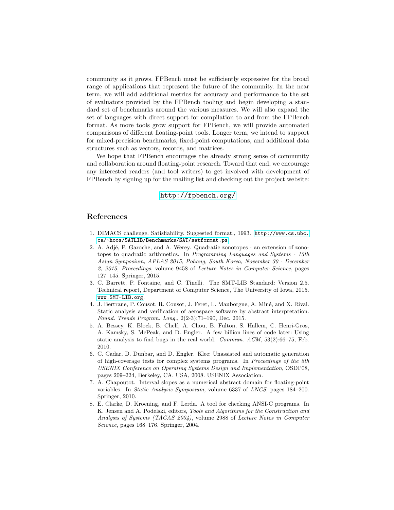community as it grows. FPBench must be sufficiently expressive for the broad range of applications that represent the future of the community. In the near term, we will add additional metrics for accuracy and performance to the set of evaluators provided by the FPBench tooling and begin developing a standard set of benchmarks around the various measures. We will also expand the set of languages with direct support for compilation to and from the FPBench format. As more tools grow support for FPBench, we will provide automated comparisons of different floating-point tools. Longer term, we intend to support for mixed-precision benchmarks, fixed-point computations, and additional data structures such as vectors, records, and matrices.

We hope that FPBench encourages the already strong sense of community and collaboration around floating-point research. Toward that end, we encourage any interested readers (and tool writers) to get involved with development of FPBench by signing up for the mailing list and checking out the project website:

# <http://fpbench.org/>

## References

- <span id="page-13-4"></span>1. DIMACS challenge. Satisfiability. Suggested format., 1993. [http://www.cs.ubc.](http://www.cs.ubc.ca/~hoos/SATLIB/Benchmarks/SAT/satformat.ps) [ca/~hoos/SATLIB/Benchmarks/SAT/satformat.ps](http://www.cs.ubc.ca/~hoos/SATLIB/Benchmarks/SAT/satformat.ps).
- <span id="page-13-6"></span>2. A. Adjé, P. Garoche, and A. Werey. Quadratic zonotopes - an extension of zonotopes to quadratic arithmetics. In Programming Languages and Systems - 13th Asian Symposium, APLAS 2015, Pohang, South Korea, November 30 - December 2, 2015, Proceedings, volume 9458 of Lecture Notes in Computer Science, pages 127–145. Springer, 2015.
- <span id="page-13-5"></span>3. C. Barrett, P. Fontaine, and C. Tinelli. The SMT-LIB Standard: Version 2.5. Technical report, Department of Computer Science, The University of Iowa, 2015. <www.SMT-LIB.org>.
- <span id="page-13-0"></span>4. J. Bertrane, P. Cousot, R. Cousot, J. Feret, L. Mauborgne, A. Miné, and X. Rival. Static analysis and verification of aerospace software by abstract interpretation. Found. Trends Program. Lang., 2(2-3):71–190, Dec. 2015.
- <span id="page-13-1"></span>5. A. Bessey, K. Block, B. Chelf, A. Chou, B. Fulton, S. Hallem, C. Henri-Gros, A. Kamsky, S. McPeak, and D. Engler. A few billion lines of code later: Using static analysis to find bugs in the real world. Commun. ACM, 53(2):66–75, Feb. 2010.
- <span id="page-13-2"></span>6. C. Cadar, D. Dunbar, and D. Engler. Klee: Unassisted and automatic generation of high-coverage tests for complex systems programs. In Proceedings of the 8th USENIX Conference on Operating Systems Design and Implementation, OSDI'08, pages 209–224, Berkeley, CA, USA, 2008. USENIX Association.
- <span id="page-13-7"></span>7. A. Chapoutot. Interval slopes as a numerical abstract domain for floating-point variables. In Static Analysis Symposium, volume 6337 of LNCS, pages 184–200. Springer, 2010.
- <span id="page-13-3"></span>8. E. Clarke, D. Kroening, and F. Lerda. A tool for checking ANSI-C programs. In K. Jensen and A. Podelski, editors, Tools and Algorithms for the Construction and Analysis of Systems (TACAS 2004), volume 2988 of Lecture Notes in Computer Science, pages 168–176. Springer, 2004.